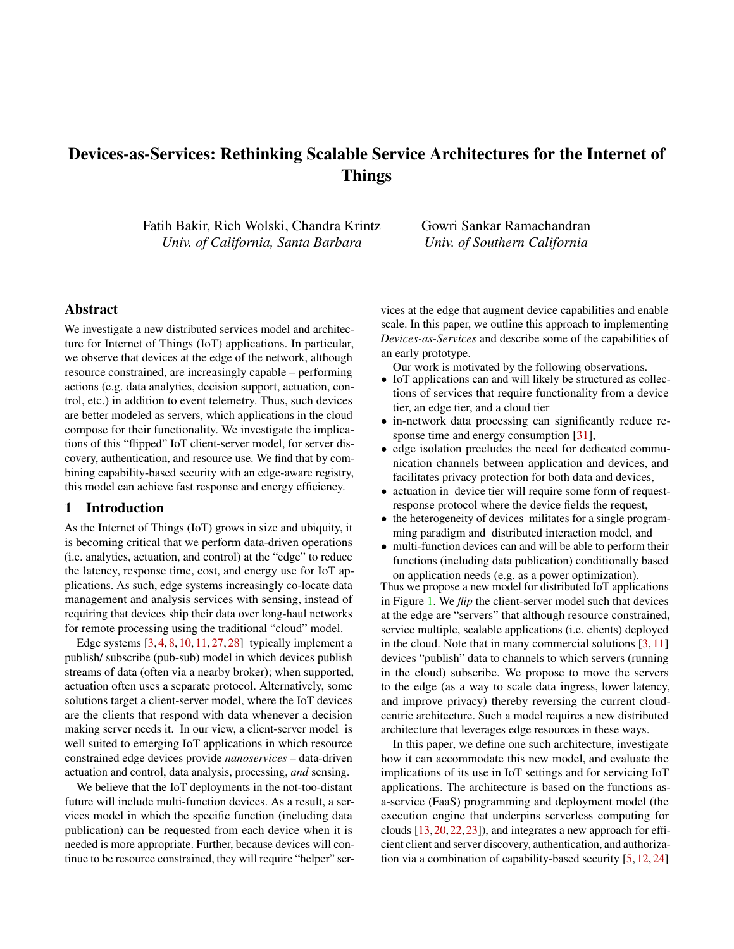# Devices-as-Services: Rethinking Scalable Service Architectures for the Internet of Things

Fatih Bakir, Rich Wolski, Chandra Krintz *Univ. of California, Santa Barbara*

Gowri Sankar Ramachandran *Univ. of Southern California*

# Abstract

We investigate a new distributed services model and architecture for Internet of Things (IoT) applications. In particular, we observe that devices at the edge of the network, although resource constrained, are increasingly capable – performing actions (e.g. data analytics, decision support, actuation, control, etc.) in addition to event telemetry. Thus, such devices are better modeled as servers, which applications in the cloud compose for their functionality. We investigate the implications of this "flipped" IoT client-server model, for server discovery, authentication, and resource use. We find that by combining capability-based security with an edge-aware registry, this model can achieve fast response and energy efficiency.

## 1 Introduction

As the Internet of Things (IoT) grows in size and ubiquity, it is becoming critical that we perform data-driven operations (i.e. analytics, actuation, and control) at the "edge" to reduce the latency, response time, cost, and energy use for IoT applications. As such, edge systems increasingly co-locate data management and analysis services with sensing, instead of requiring that devices ship their data over long-haul networks for remote processing using the traditional "cloud" model.

Edge systems  $[3, 4, 8, 10, 11, 27, 28]$  $[3, 4, 8, 10, 11, 27, 28]$  $[3, 4, 8, 10, 11, 27, 28]$  $[3, 4, 8, 10, 11, 27, 28]$  $[3, 4, 8, 10, 11, 27, 28]$  $[3, 4, 8, 10, 11, 27, 28]$  $[3, 4, 8, 10, 11, 27, 28]$  $[3, 4, 8, 10, 11, 27, 28]$  $[3, 4, 8, 10, 11, 27, 28]$  $[3, 4, 8, 10, 11, 27, 28]$  $[3, 4, 8, 10, 11, 27, 28]$  $[3, 4, 8, 10, 11, 27, 28]$  $[3, 4, 8, 10, 11, 27, 28]$  typically implement a publish/ subscribe (pub-sub) model in which devices publish streams of data (often via a nearby broker); when supported, actuation often uses a separate protocol. Alternatively, some solutions target a client-server model, where the IoT devices are the clients that respond with data whenever a decision making server needs it. In our view, a client-server model is well suited to emerging IoT applications in which resource constrained edge devices provide *nanoservices* – data-driven actuation and control, data analysis, processing, *and* sensing.

We believe that the IoT deployments in the not-too-distant future will include multi-function devices. As a result, a services model in which the specific function (including data publication) can be requested from each device when it is needed is more appropriate. Further, because devices will continue to be resource constrained, they will require "helper" services at the edge that augment device capabilities and enable scale. In this paper, we outline this approach to implementing *Devices-as-Services* and describe some of the capabilities of an early prototype.

Our work is motivated by the following observations.

- IoT applications can and will likely be structured as collections of services that require functionality from a device tier, an edge tier, and a cloud tier
- in-network data processing can significantly reduce re-sponse time and energy consumption [\[31\]](#page-6-2),
- edge isolation precludes the need for dedicated communication channels between application and devices, and facilitates privacy protection for both data and devices,
- actuation in device tier will require some form of requestresponse protocol where the device fields the request,
- the heterogeneity of devices militates for a single programming paradigm and distributed interaction model, and
- multi-function devices can and will be able to perform their functions (including data publication) conditionally based on application needs (e.g. as a power optimization).

Thus we propose a new model for distributed IoT applications in Figure [1.](#page-1-0) We *flip* the client-server model such that devices at the edge are "servers" that although resource constrained, service multiple, scalable applications (i.e. clients) deployed in the cloud. Note that in many commercial solutions  $[3, 11]$  $[3, 11]$ devices "publish" data to channels to which servers (running in the cloud) subscribe. We propose to move the servers to the edge (as a way to scale data ingress, lower latency, and improve privacy) thereby reversing the current cloudcentric architecture. Such a model requires a new distributed architecture that leverages edge resources in these ways.

In this paper, we define one such architecture, investigate how it can accommodate this new model, and evaluate the implications of its use in IoT settings and for servicing IoT applications. The architecture is based on the functions asa-service (FaaS) programming and deployment model (the execution engine that underpins serverless computing for clouds [\[13,](#page-5-5)[20,](#page-5-6)[22,](#page-5-7)[23\]](#page-5-8)), and integrates a new approach for efficient client and server discovery, authentication, and authorization via a combination of capability-based security [\[5,](#page-5-9) [12,](#page-5-10) [24\]](#page-5-11)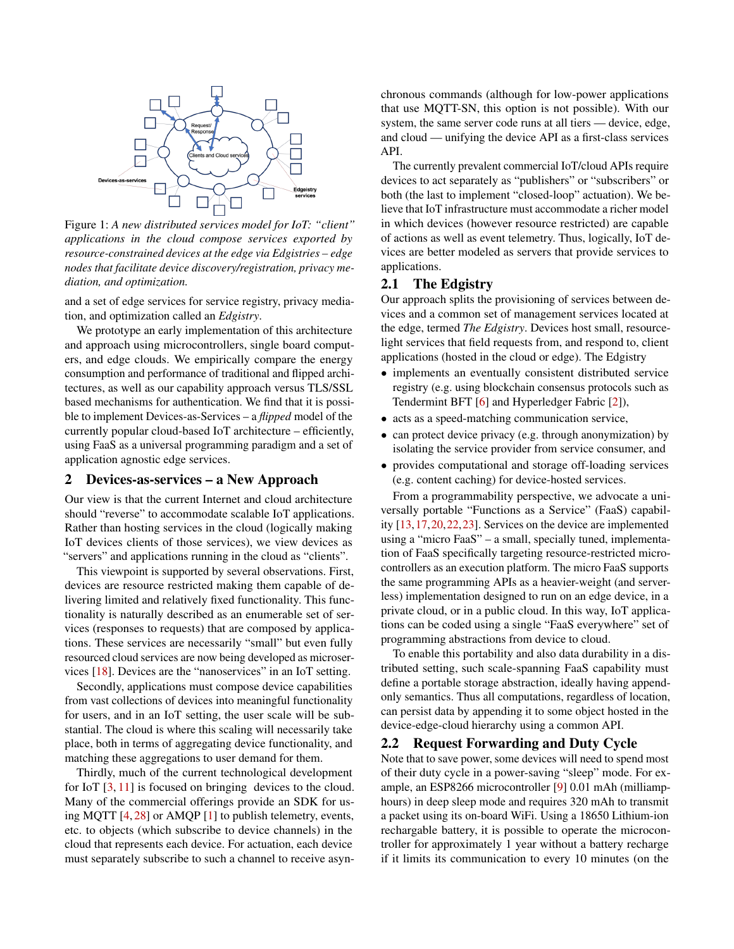<span id="page-1-0"></span>

Figure 1: *A new distributed services model for IoT: "client" applications in the cloud compose services exported by resource-constrained devices at the edge via Edgistries – edge nodes that facilitate device discovery/registration, privacy mediation, and optimization.*

and a set of edge services for service registry, privacy mediation, and optimization called an *Edgistry*.

We prototype an early implementation of this architecture and approach using microcontrollers, single board computers, and edge clouds. We empirically compare the energy consumption and performance of traditional and flipped architectures, as well as our capability approach versus TLS/SSL based mechanisms for authentication. We find that it is possible to implement Devices-as-Services – a *flipped* model of the currently popular cloud-based IoT architecture – efficiently, using FaaS as a universal programming paradigm and a set of application agnostic edge services.

## 2 Devices-as-services – a New Approach

Our view is that the current Internet and cloud architecture should "reverse" to accommodate scalable IoT applications. Rather than hosting services in the cloud (logically making IoT devices clients of those services), we view devices as "servers" and applications running in the cloud as "clients".

This viewpoint is supported by several observations. First, devices are resource restricted making them capable of delivering limited and relatively fixed functionality. This functionality is naturally described as an enumerable set of services (responses to requests) that are composed by applications. These services are necessarily "small" but even fully resourced cloud services are now being developed as microservices [\[18\]](#page-5-12). Devices are the "nanoservices" in an IoT setting.

Secondly, applications must compose device capabilities from vast collections of devices into meaningful functionality for users, and in an IoT setting, the user scale will be substantial. The cloud is where this scaling will necessarily take place, both in terms of aggregating device functionality, and matching these aggregations to user demand for them.

Thirdly, much of the current technological development for IoT [\[3,](#page-5-0) [11\]](#page-5-4) is focused on bringing devices to the cloud. Many of the commercial offerings provide an SDK for using MQTT [\[4,](#page-5-1) [28\]](#page-6-1) or AMQP [\[1\]](#page-5-13) to publish telemetry, events, etc. to objects (which subscribe to device channels) in the cloud that represents each device. For actuation, each device must separately subscribe to such a channel to receive asynchronous commands (although for low-power applications that use MQTT-SN, this option is not possible). With our system, the same server code runs at all tiers — device, edge, and cloud — unifying the device API as a first-class services API.

The currently prevalent commercial IoT/cloud APIs require devices to act separately as "publishers" or "subscribers" or both (the last to implement "closed-loop" actuation). We believe that IoT infrastructure must accommodate a richer model in which devices (however resource restricted) are capable of actions as well as event telemetry. Thus, logically, IoT devices are better modeled as servers that provide services to applications.

## 2.1 The Edgistry

Our approach splits the provisioning of services between devices and a common set of management services located at the edge, termed *The Edgistry*. Devices host small, resourcelight services that field requests from, and respond to, client applications (hosted in the cloud or edge). The Edgistry

- implements an eventually consistent distributed service registry (e.g. using blockchain consensus protocols such as Tendermint BFT [\[6\]](#page-5-14) and Hyperledger Fabric [\[2\]](#page-5-15)),
- acts as a speed-matching communication service,
- can protect device privacy (e.g. through anonymization) by isolating the service provider from service consumer, and
- provides computational and storage off-loading services (e.g. content caching) for device-hosted services.

From a programmability perspective, we advocate a universally portable "Functions as a Service" (FaaS) capability [\[13,](#page-5-5)[17,](#page-5-16)[20,](#page-5-6)[22,](#page-5-7)[23\]](#page-5-8). Services on the device are implemented using a "micro FaaS" – a small, specially tuned, implementation of FaaS specifically targeting resource-restricted microcontrollers as an execution platform. The micro FaaS supports the same programming APIs as a heavier-weight (and serverless) implementation designed to run on an edge device, in a private cloud, or in a public cloud. In this way, IoT applications can be coded using a single "FaaS everywhere" set of programming abstractions from device to cloud.

To enable this portability and also data durability in a distributed setting, such scale-spanning FaaS capability must define a portable storage abstraction, ideally having appendonly semantics. Thus all computations, regardless of location, can persist data by appending it to some object hosted in the device-edge-cloud hierarchy using a common API.

#### 2.2 Request Forwarding and Duty Cycle

Note that to save power, some devices will need to spend most of their duty cycle in a power-saving "sleep" mode. For example, an ESP8266 microcontroller [\[9\]](#page-5-17) 0.01 mAh (milliamphours) in deep sleep mode and requires 320 mAh to transmit a packet using its on-board WiFi. Using a 18650 Lithium-ion rechargable battery, it is possible to operate the microcontroller for approximately 1 year without a battery recharge if it limits its communication to every 10 minutes (on the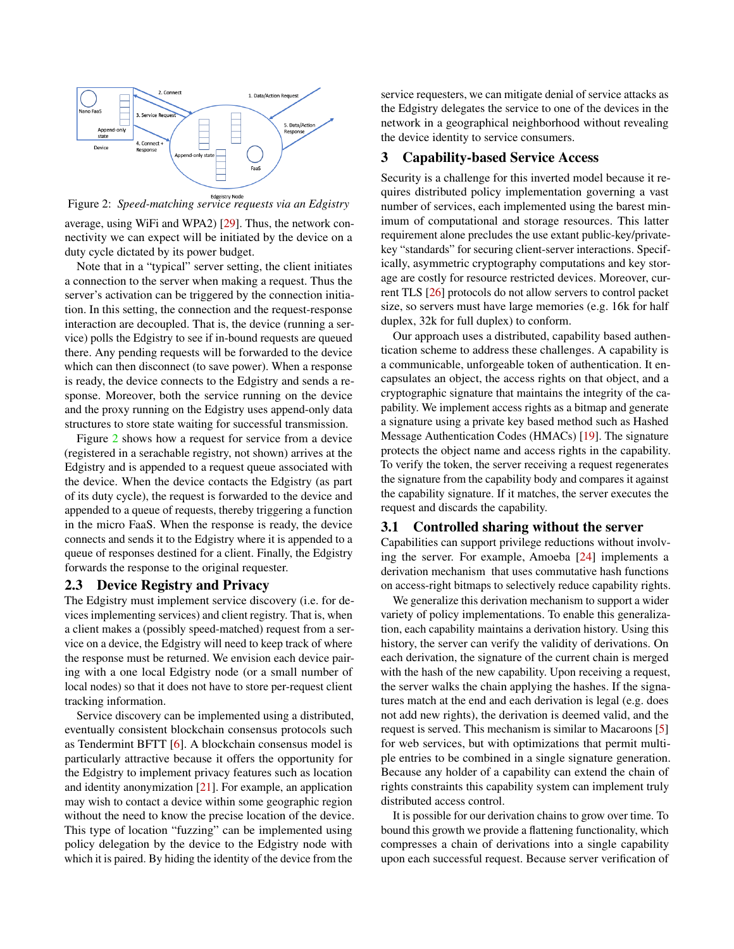<span id="page-2-0"></span>

Figure 2: *Speed-matching service requests via an Edgistry*

average, using WiFi and WPA2) [\[29\]](#page-6-3). Thus, the network connectivity we can expect will be initiated by the device on a duty cycle dictated by its power budget.

Note that in a "typical" server setting, the client initiates a connection to the server when making a request. Thus the server's activation can be triggered by the connection initiation. In this setting, the connection and the request-response interaction are decoupled. That is, the device (running a service) polls the Edgistry to see if in-bound requests are queued there. Any pending requests will be forwarded to the device which can then disconnect (to save power). When a response is ready, the device connects to the Edgistry and sends a response. Moreover, both the service running on the device and the proxy running on the Edgistry uses append-only data structures to store state waiting for successful transmission.

Figure [2](#page-2-0) shows how a request for service from a device (registered in a serachable registry, not shown) arrives at the Edgistry and is appended to a request queue associated with the device. When the device contacts the Edgistry (as part of its duty cycle), the request is forwarded to the device and appended to a queue of requests, thereby triggering a function in the micro FaaS. When the response is ready, the device connects and sends it to the Edgistry where it is appended to a queue of responses destined for a client. Finally, the Edgistry forwards the response to the original requester.

## 2.3 Device Registry and Privacy

The Edgistry must implement service discovery (i.e. for devices implementing services) and client registry. That is, when a client makes a (possibly speed-matched) request from a service on a device, the Edgistry will need to keep track of where the response must be returned. We envision each device pairing with a one local Edgistry node (or a small number of local nodes) so that it does not have to store per-request client tracking information.

Service discovery can be implemented using a distributed, eventually consistent blockchain consensus protocols such as Tendermint BFTT [\[6\]](#page-5-14). A blockchain consensus model is particularly attractive because it offers the opportunity for the Edgistry to implement privacy features such as location and identity anonymization [\[21\]](#page-5-18). For example, an application may wish to contact a device within some geographic region without the need to know the precise location of the device. This type of location "fuzzing" can be implemented using policy delegation by the device to the Edgistry node with which it is paired. By hiding the identity of the device from the

service requesters, we can mitigate denial of service attacks as the Edgistry delegates the service to one of the devices in the network in a geographical neighborhood without revealing the device identity to service consumers.

## 3 Capability-based Service Access

Security is a challenge for this inverted model because it requires distributed policy implementation governing a vast number of services, each implemented using the barest minimum of computational and storage resources. This latter requirement alone precludes the use extant public-key/privatekey "standards" for securing client-server interactions. Specifically, asymmetric cryptography computations and key storage are costly for resource restricted devices. Moreover, current TLS [\[26\]](#page-6-4) protocols do not allow servers to control packet size, so servers must have large memories (e.g. 16k for half duplex, 32k for full duplex) to conform.

Our approach uses a distributed, capability based authentication scheme to address these challenges. A capability is a communicable, unforgeable token of authentication. It encapsulates an object, the access rights on that object, and a cryptographic signature that maintains the integrity of the capability. We implement access rights as a bitmap and generate a signature using a private key based method such as Hashed Message Authentication Codes (HMACs) [\[19\]](#page-5-19). The signature protects the object name and access rights in the capability. To verify the token, the server receiving a request regenerates the signature from the capability body and compares it against the capability signature. If it matches, the server executes the request and discards the capability.

#### 3.1 Controlled sharing without the server

Capabilities can support privilege reductions without involving the server. For example, Amoeba [\[24\]](#page-5-11) implements a derivation mechanism that uses commutative hash functions on access-right bitmaps to selectively reduce capability rights.

We generalize this derivation mechanism to support a wider variety of policy implementations. To enable this generalization, each capability maintains a derivation history. Using this history, the server can verify the validity of derivations. On each derivation, the signature of the current chain is merged with the hash of the new capability. Upon receiving a request, the server walks the chain applying the hashes. If the signatures match at the end and each derivation is legal (e.g. does not add new rights), the derivation is deemed valid, and the request is served. This mechanism is similar to Macaroons [\[5\]](#page-5-9) for web services, but with optimizations that permit multiple entries to be combined in a single signature generation. Because any holder of a capability can extend the chain of rights constraints this capability system can implement truly distributed access control.

It is possible for our derivation chains to grow over time. To bound this growth we provide a flattening functionality, which compresses a chain of derivations into a single capability upon each successful request. Because server verification of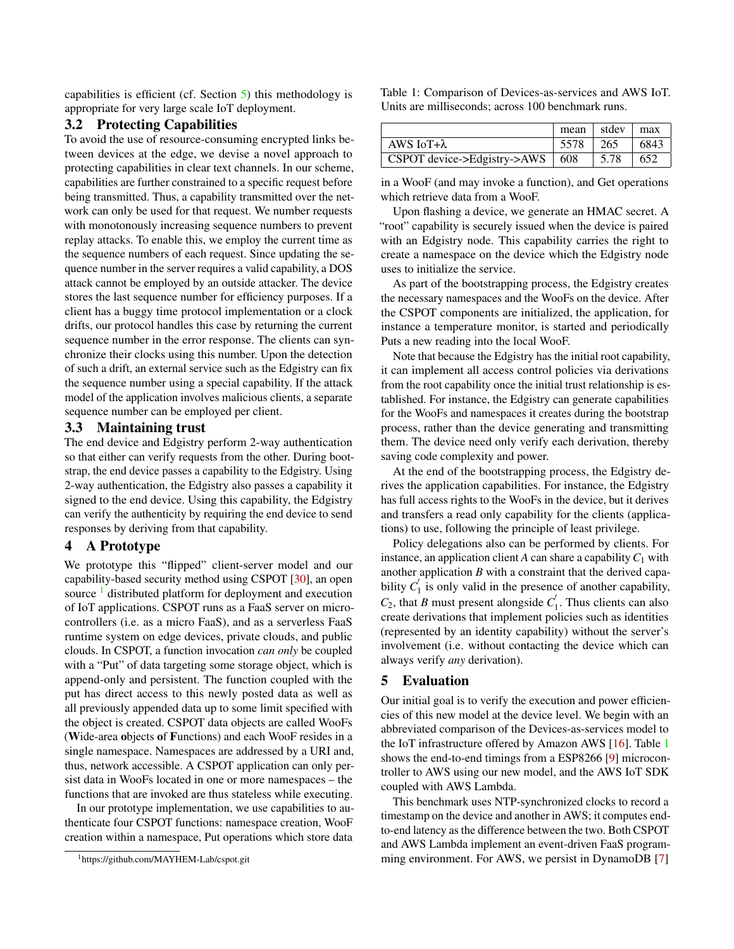capabilities is efficient (cf. Section [5\)](#page-3-0) this methodology is appropriate for very large scale IoT deployment.

# 3.2 Protecting Capabilities

To avoid the use of resource-consuming encrypted links between devices at the edge, we devise a novel approach to protecting capabilities in clear text channels. In our scheme, capabilities are further constrained to a specific request before being transmitted. Thus, a capability transmitted over the network can only be used for that request. We number requests with monotonously increasing sequence numbers to prevent replay attacks. To enable this, we employ the current time as the sequence numbers of each request. Since updating the sequence number in the server requires a valid capability, a DOS attack cannot be employed by an outside attacker. The device stores the last sequence number for efficiency purposes. If a client has a buggy time protocol implementation or a clock drifts, our protocol handles this case by returning the current sequence number in the error response. The clients can synchronize their clocks using this number. Upon the detection of such a drift, an external service such as the Edgistry can fix the sequence number using a special capability. If the attack model of the application involves malicious clients, a separate sequence number can be employed per client.

## 3.3 Maintaining trust

The end device and Edgistry perform 2-way authentication so that either can verify requests from the other. During bootstrap, the end device passes a capability to the Edgistry. Using 2-way authentication, the Edgistry also passes a capability it signed to the end device. Using this capability, the Edgistry can verify the authenticity by requiring the end device to send responses by deriving from that capability.

# 4 A Prototype

We prototype this "flipped" client-server model and our capability-based security method using CSPOT [\[30\]](#page-6-5), an open source  $\frac{1}{1}$  $\frac{1}{1}$  $\frac{1}{1}$  distributed platform for deployment and execution of IoT applications. CSPOT runs as a FaaS server on microcontrollers (i.e. as a micro FaaS), and as a serverless FaaS runtime system on edge devices, private clouds, and public clouds. In CSPOT, a function invocation *can only* be coupled with a "Put" of data targeting some storage object, which is append-only and persistent. The function coupled with the put has direct access to this newly posted data as well as all previously appended data up to some limit specified with the object is created. CSPOT data objects are called WooFs (Wide-area objects of Functions) and each WooF resides in a single namespace. Namespaces are addressed by a URI and, thus, network accessible. A CSPOT application can only persist data in WooFs located in one or more namespaces – the functions that are invoked are thus stateless while executing.

In our prototype implementation, we use capabilities to authenticate four CSPOT functions: namespace creation, WooF creation within a namespace, Put operations which store data

<span id="page-3-2"></span>Table 1: Comparison of Devices-as-services and AWS IoT. Units are milliseconds; across 100 benchmark runs.

|                                           | mean | stdev | max  |
|-------------------------------------------|------|-------|------|
| AWS $IoT+\lambda$                         | 5578 | 265   | 6843 |
| CSPOT device- $>$ Edgistry- $>$ AWS   608 |      | 5.78  | 652  |

in a WooF (and may invoke a function), and Get operations which retrieve data from a WooF.

Upon flashing a device, we generate an HMAC secret. A "root" capability is securely issued when the device is paired with an Edgistry node. This capability carries the right to create a namespace on the device which the Edgistry node uses to initialize the service.

As part of the bootstrapping process, the Edgistry creates the necessary namespaces and the WooFs on the device. After the CSPOT components are initialized, the application, for instance a temperature monitor, is started and periodically Puts a new reading into the local WooF.

Note that because the Edgistry has the initial root capability, it can implement all access control policies via derivations from the root capability once the initial trust relationship is established. For instance, the Edgistry can generate capabilities for the WooFs and namespaces it creates during the bootstrap process, rather than the device generating and transmitting them. The device need only verify each derivation, thereby saving code complexity and power.

At the end of the bootstrapping process, the Edgistry derives the application capabilities. For instance, the Edgistry has full access rights to the WooFs in the device, but it derives and transfers a read only capability for the clients (applications) to use, following the principle of least privilege.

Policy delegations also can be performed by clients. For instance, an application client *A* can share a capability  $C_1$  with another application *B* with a constraint that the derived capa- $\frac{1}{2}$ bility  $C_1$  $\frac{1}{1}$  is only valid in the presence of another capability,  $C_2$ , that *B* must present alongside  $C_1$  $\int_1$ . Thus clients can also create derivations that implement policies such as identities (represented by an identity capability) without the server's involvement (i.e. without contacting the device which can always verify *any* derivation).

## <span id="page-3-0"></span>5 Evaluation

Our initial goal is to verify the execution and power efficiencies of this new model at the device level. We begin with an abbreviated comparison of the Devices-as-services model to the IoT infrastructure offered by Amazon AWS [\[16\]](#page-5-20). Table [1](#page-3-2) shows the end-to-end timings from a ESP8266 [\[9\]](#page-5-17) microcontroller to AWS using our new model, and the AWS IoT SDK coupled with AWS Lambda.

This benchmark uses NTP-synchronized clocks to record a timestamp on the device and another in AWS; it computes endto-end latency as the difference between the two. Both CSPOT and AWS Lambda implement an event-driven FaaS programming environment. For AWS, we persist in DynamoDB [\[7\]](#page-5-21)

<span id="page-3-1"></span><sup>&</sup>lt;sup>1</sup>https://github.com/MAYHEM-Lab/cspot.git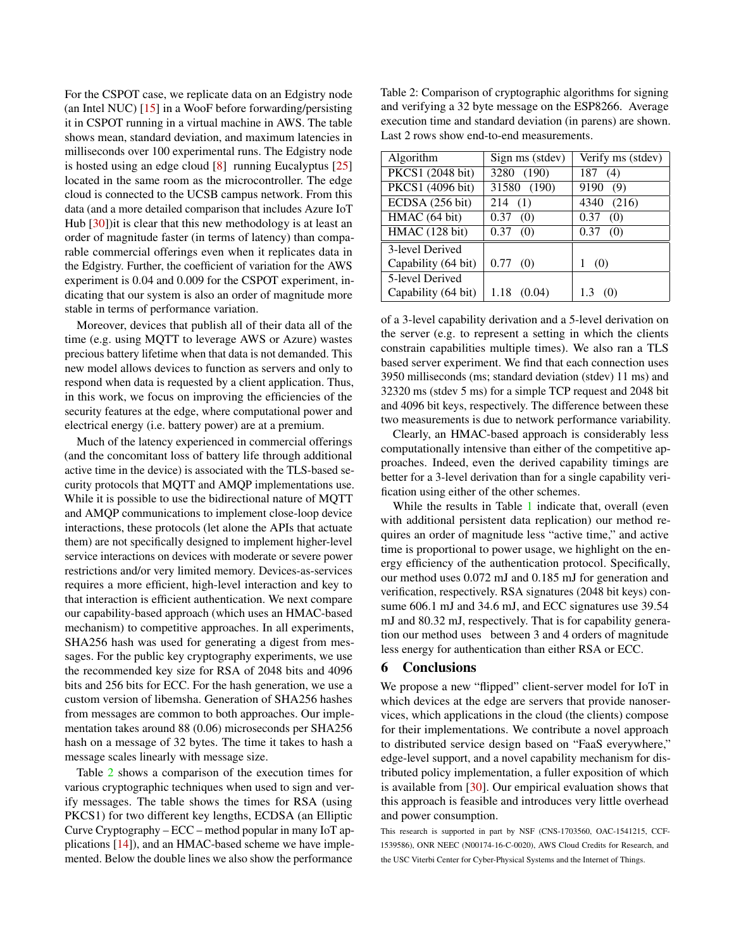For the CSPOT case, we replicate data on an Edgistry node (an Intel NUC) [\[15\]](#page-5-22) in a WooF before forwarding/persisting it in CSPOT running in a virtual machine in AWS. The table shows mean, standard deviation, and maximum latencies in milliseconds over 100 experimental runs. The Edgistry node is hosted using an edge cloud [\[8\]](#page-5-2) running Eucalyptus [\[25\]](#page-6-6) located in the same room as the microcontroller. The edge cloud is connected to the UCSB campus network. From this data (and a more detailed comparison that includes Azure IoT Hub [\[30\]](#page-6-5))it is clear that this new methodology is at least an order of magnitude faster (in terms of latency) than comparable commercial offerings even when it replicates data in the Edgistry. Further, the coefficient of variation for the AWS experiment is 0.04 and 0.009 for the CSPOT experiment, indicating that our system is also an order of magnitude more stable in terms of performance variation.

Moreover, devices that publish all of their data all of the time (e.g. using MQTT to leverage AWS or Azure) wastes precious battery lifetime when that data is not demanded. This new model allows devices to function as servers and only to respond when data is requested by a client application. Thus, in this work, we focus on improving the efficiencies of the security features at the edge, where computational power and electrical energy (i.e. battery power) are at a premium.

Much of the latency experienced in commercial offerings (and the concomitant loss of battery life through additional active time in the device) is associated with the TLS-based security protocols that MQTT and AMQP implementations use. While it is possible to use the bidirectional nature of MQTT and AMQP communications to implement close-loop device interactions, these protocols (let alone the APIs that actuate them) are not specifically designed to implement higher-level service interactions on devices with moderate or severe power restrictions and/or very limited memory. Devices-as-services requires a more efficient, high-level interaction and key to that interaction is efficient authentication. We next compare our capability-based approach (which uses an HMAC-based mechanism) to competitive approaches. In all experiments, SHA256 hash was used for generating a digest from messages. For the public key cryptography experiments, we use the recommended key size for RSA of 2048 bits and 4096 bits and 256 bits for ECC. For the hash generation, we use a custom version of libemsha. Generation of SHA256 hashes from messages are common to both approaches. Our implementation takes around 88 (0.06) microseconds per SHA256 hash on a message of 32 bytes. The time it takes to hash a message scales linearly with message size.

Table [2](#page-4-0) shows a comparison of the execution times for various cryptographic techniques when used to sign and verify messages. The table shows the times for RSA (using PKCS1) for two different key lengths, ECDSA (an Elliptic Curve Cryptography – ECC – method popular in many IoT applications [\[14\]](#page-5-23)), and an HMAC-based scheme we have implemented. Below the double lines we also show the performance

<span id="page-4-0"></span>Table 2: Comparison of cryptographic algorithms for signing and verifying a 32 byte message on the ESP8266. Average execution time and standard deviation (in parens) are shown. Last 2 rows show end-to-end measurements.

| Algorithm           | Sign ms (stdev) | Verify ms (stdev) |
|---------------------|-----------------|-------------------|
| PKCS1 (2048 bit)    | 3280 (190)      | 187(4)            |
| PKCS1 (4096 bit)    | 31580 (190)     | 9190 (9)          |
| ECDSA (256 bit)     | 214(1)          | 4340 (216)        |
| HMAC(64 bit)        | 0.37<br>(0)     | 0.37(0)           |
| HMAC (128 bit)      | 0.37<br>(0)     | 0.37(0)           |
| 3-level Derived     |                 |                   |
| Capability (64 bit) | 0.77(0)         | (0)               |
| 5-level Derived     |                 |                   |
| Capability (64 bit) | 1.18<br>(0.04)  | (0)               |

of a 3-level capability derivation and a 5-level derivation on the server (e.g. to represent a setting in which the clients constrain capabilities multiple times). We also ran a TLS based server experiment. We find that each connection uses 3950 milliseconds (ms; standard deviation (stdev) 11 ms) and 32320 ms (stdev 5 ms) for a simple TCP request and 2048 bit and 4096 bit keys, respectively. The difference between these two measurements is due to network performance variability.

Clearly, an HMAC-based approach is considerably less computationally intensive than either of the competitive approaches. Indeed, even the derived capability timings are better for a 3-level derivation than for a single capability verification using either of the other schemes.

While the results in Table [1](#page-3-2) indicate that, overall (even with additional persistent data replication) our method requires an order of magnitude less "active time," and active time is proportional to power usage, we highlight on the energy efficiency of the authentication protocol. Specifically, our method uses 0.072 mJ and 0.185 mJ for generation and verification, respectively. RSA signatures (2048 bit keys) consume 606.1 mJ and 34.6 mJ, and ECC signatures use 39.54 mJ and 80.32 mJ, respectively. That is for capability generation our method uses between 3 and 4 orders of magnitude less energy for authentication than either RSA or ECC.

#### 6 Conclusions

We propose a new "flipped" client-server model for IoT in which devices at the edge are servers that provide nanoservices, which applications in the cloud (the clients) compose for their implementations. We contribute a novel approach to distributed service design based on "FaaS everywhere," edge-level support, and a novel capability mechanism for distributed policy implementation, a fuller exposition of which is available from [\[30\]](#page-6-5). Our empirical evaluation shows that this approach is feasible and introduces very little overhead and power consumption.

This research is supported in part by NSF (CNS-1703560, OAC-1541215, CCF-1539586), ONR NEEC (N00174-16-C-0020), AWS Cloud Credits for Research, and the USC Viterbi Center for Cyber-Physical Systems and the Internet of Things.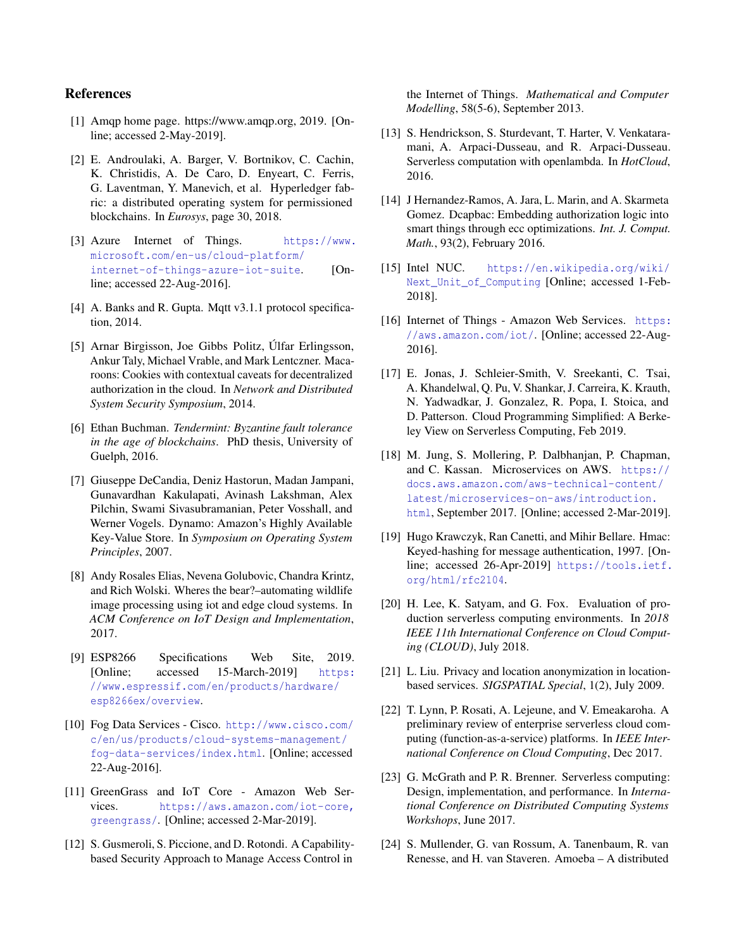# References

- <span id="page-5-13"></span>[1] Amqp home page. https://www.amqp.org, 2019. [Online; accessed 2-May-2019].
- <span id="page-5-15"></span>[2] E. Androulaki, A. Barger, V. Bortnikov, C. Cachin, K. Christidis, A. De Caro, D. Enyeart, C. Ferris, G. Laventman, Y. Manevich, et al. Hyperledger fabric: a distributed operating system for permissioned blockchains. In *Eurosys*, page 30, 2018.
- <span id="page-5-0"></span>[3] Azure Internet of Things. [https://www.](https://www.microsoft.com/en-us/cloud-platform/internet-of-things-azure-iot-suite) [microsoft.com/en-us/cloud-platform/](https://www.microsoft.com/en-us/cloud-platform/internet-of-things-azure-iot-suite) [internet-of-things-azure-iot-suite](https://www.microsoft.com/en-us/cloud-platform/internet-of-things-azure-iot-suite). [Online; accessed 22-Aug-2016].
- <span id="page-5-1"></span>[4] A. Banks and R. Gupta. Mqtt v3.1.1 protocol specification, 2014.
- <span id="page-5-9"></span>[5] Arnar Birgisson, Joe Gibbs Politz, Úlfar Erlingsson, Ankur Taly, Michael Vrable, and Mark Lentczner. Macaroons: Cookies with contextual caveats for decentralized authorization in the cloud. In *Network and Distributed System Security Symposium*, 2014.
- <span id="page-5-14"></span>[6] Ethan Buchman. *Tendermint: Byzantine fault tolerance in the age of blockchains*. PhD thesis, University of Guelph, 2016.
- <span id="page-5-21"></span>[7] Giuseppe DeCandia, Deniz Hastorun, Madan Jampani, Gunavardhan Kakulapati, Avinash Lakshman, Alex Pilchin, Swami Sivasubramanian, Peter Vosshall, and Werner Vogels. Dynamo: Amazon's Highly Available Key-Value Store. In *Symposium on Operating System Principles*, 2007.
- <span id="page-5-2"></span>[8] Andy Rosales Elias, Nevena Golubovic, Chandra Krintz, and Rich Wolski. Wheres the bear?–automating wildlife image processing using iot and edge cloud systems. In *ACM Conference on IoT Design and Implementation*, 2017.
- <span id="page-5-17"></span>[9] ESP8266 Specifications Web Site, 2019. [Online; accessed 15-March-2019] [https:](https://www.espressif.com/en/products/hardware/esp8266ex/overview) [//www.espressif.com/en/products/hardware/](https://www.espressif.com/en/products/hardware/esp8266ex/overview) [esp8266ex/overview](https://www.espressif.com/en/products/hardware/esp8266ex/overview).
- <span id="page-5-3"></span>[10] Fog Data Services - Cisco. [http://www.cisco.com/](http://www.cisco.com/c/en/us/products/cloud-systems-management/fog-data-services/index.html) [c/en/us/products/cloud-systems-management/](http://www.cisco.com/c/en/us/products/cloud-systems-management/fog-data-services/index.html) [fog-data-services/index.html](http://www.cisco.com/c/en/us/products/cloud-systems-management/fog-data-services/index.html). [Online; accessed 22-Aug-2016].
- <span id="page-5-4"></span>[11] GreenGrass and IoT Core - Amazon Web Services. [https://aws.amazon.com/iot-core,](https://aws.amazon.com/iot-core,greengrass/) [greengrass/](https://aws.amazon.com/iot-core,greengrass/). [Online; accessed 2-Mar-2019].
- <span id="page-5-10"></span>[12] S. Gusmeroli, S. Piccione, and D. Rotondi. A Capabilitybased Security Approach to Manage Access Control in

the Internet of Things. *Mathematical and Computer Modelling*, 58(5-6), September 2013.

- <span id="page-5-5"></span>[13] S. Hendrickson, S. Sturdevant, T. Harter, V. Venkataramani, A. Arpaci-Dusseau, and R. Arpaci-Dusseau. Serverless computation with openlambda. In *HotCloud*, 2016.
- <span id="page-5-23"></span>[14] J Hernandez-Ramos, A. Jara, L. Marin, and A. Skarmeta Gomez. Dcapbac: Embedding authorization logic into smart things through ecc optimizations. *Int. J. Comput. Math.*, 93(2), February 2016.
- <span id="page-5-22"></span>[15] Intel NUC. [https://en.wikipedia.org/wiki/](https://en.wikipedia.org/wiki/Next_Unit_of_Computing) [Next\\_Unit\\_of\\_Computing](https://en.wikipedia.org/wiki/Next_Unit_of_Computing) [Online; accessed 1-Feb-2018].
- <span id="page-5-20"></span>[16] Internet of Things - Amazon Web Services. [https:](https://aws.amazon.com/iot/) [//aws.amazon.com/iot/](https://aws.amazon.com/iot/). [Online; accessed 22-Aug-2016].
- <span id="page-5-16"></span>[17] E. Jonas, J. Schleier-Smith, V. Sreekanti, C. Tsai, A. Khandelwal, Q. Pu, V. Shankar, J. Carreira, K. Krauth, N. Yadwadkar, J. Gonzalez, R. Popa, I. Stoica, and D. Patterson. Cloud Programming Simplified: A Berkeley View on Serverless Computing, Feb 2019.
- <span id="page-5-12"></span>[18] M. Jung, S. Mollering, P. Dalbhanjan, P. Chapman, and C. Kassan. Microservices on AWS. [https://](https://docs.aws.amazon.com/aws-technical-content/latest/microservices-on-aws/introduction.html) [docs.aws.amazon.com/aws-technical-content/](https://docs.aws.amazon.com/aws-technical-content/latest/microservices-on-aws/introduction.html) [latest/microservices-on-aws/introduction.](https://docs.aws.amazon.com/aws-technical-content/latest/microservices-on-aws/introduction.html) [html](https://docs.aws.amazon.com/aws-technical-content/latest/microservices-on-aws/introduction.html), September 2017. [Online; accessed 2-Mar-2019].
- <span id="page-5-19"></span>[19] Hugo Krawczyk, Ran Canetti, and Mihir Bellare. Hmac: Keyed-hashing for message authentication, 1997. [Online; accessed 26-Apr-2019] [https://tools.ietf.](https://tools.ietf.org/html/rfc2104) [org/html/rfc2104](https://tools.ietf.org/html/rfc2104).
- <span id="page-5-6"></span>[20] H. Lee, K. Satyam, and G. Fox. Evaluation of production serverless computing environments. In *2018 IEEE 11th International Conference on Cloud Computing (CLOUD)*, July 2018.
- <span id="page-5-18"></span>[21] L. Liu. Privacy and location anonymization in locationbased services. *SIGSPATIAL Special*, 1(2), July 2009.
- <span id="page-5-7"></span>[22] T. Lynn, P. Rosati, A. Lejeune, and V. Emeakaroha. A preliminary review of enterprise serverless cloud computing (function-as-a-service) platforms. In *IEEE International Conference on Cloud Computing*, Dec 2017.
- <span id="page-5-8"></span>[23] G. McGrath and P. R. Brenner. Serverless computing: Design, implementation, and performance. In *International Conference on Distributed Computing Systems Workshops*, June 2017.
- <span id="page-5-11"></span>[24] S. Mullender, G. van Rossum, A. Tanenbaum, R. van Renesse, and H. van Staveren. Amoeba – A distributed